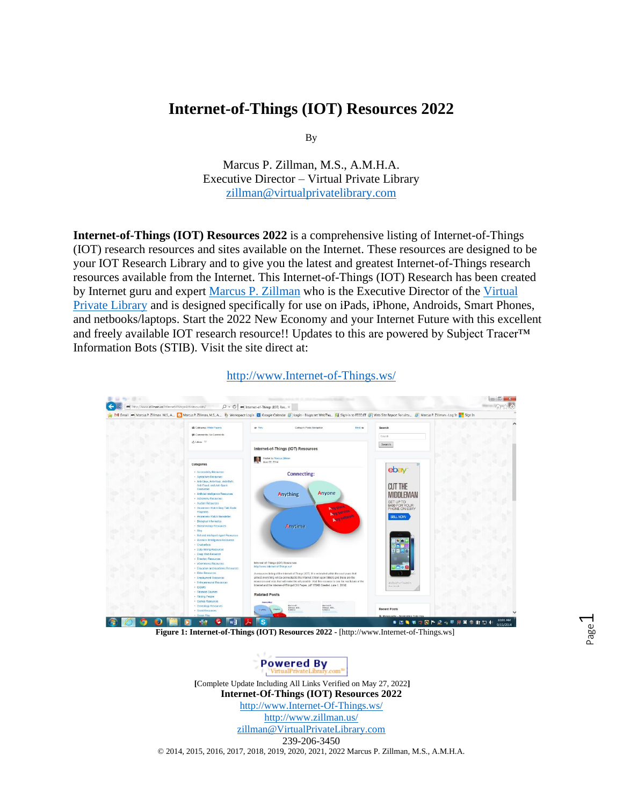## **Internet-of-Things (IOT) Resources 2022**

By

Marcus P. Zillman, M.S., A.M.H.A. Executive Director – Virtual Private Library [zillman@virtualprivatelibrary.com](mailto:zillman@virtualprivatelibrary.com)

**Internet-of-Things (IOT) Resources 2022** is a comprehensive listing of Internet-of-Things (IOT) research resources and sites available on the Internet. These resources are designed to be your IOT Research Library and to give you the latest and greatest Internet-of-Things research resources available from the Internet. This Internet-of-Things (IOT) Research has been created by Internet guru and expert [Marcus P. Zillman](http://www.zillman.us/) who is the Executive Director of the [Virtual](http://www.virtualprivatelibrary.org/)  [Private Library](http://www.virtualprivatelibrary.org/) and is designed specifically for use on iPads, iPhone, Androids, Smart Phones, and netbooks/laptops. Start the 2022 New Economy and your Internet Future with this excellent and freely available IOT research resource!! Updates to this are powered by Subject Tracer™ Information Bots (STIB). Visit the site direct at:



[http://www.Internet-of-Things.ws/](http://www.internet-of-things.ws/)



**[**Complete Update Including All Links Verified on May 27, 2022**] Internet-Of-Things (IOT) Resources 2022**  [http://www.Internet-Of-Things.ws/](http://www.internet-of-things.ws/) <http://www.zillman.us/>

[zillman@VirtualPrivateLibrary.com](mailto:zillman@VirtualPrivateLibrary.com)  239-206-3450

© 2014, 2015, 2016, 2017, 2018, 2019, 2020, 2021, 2022 Marcus P. Zillman, M.S., A.M.H.A.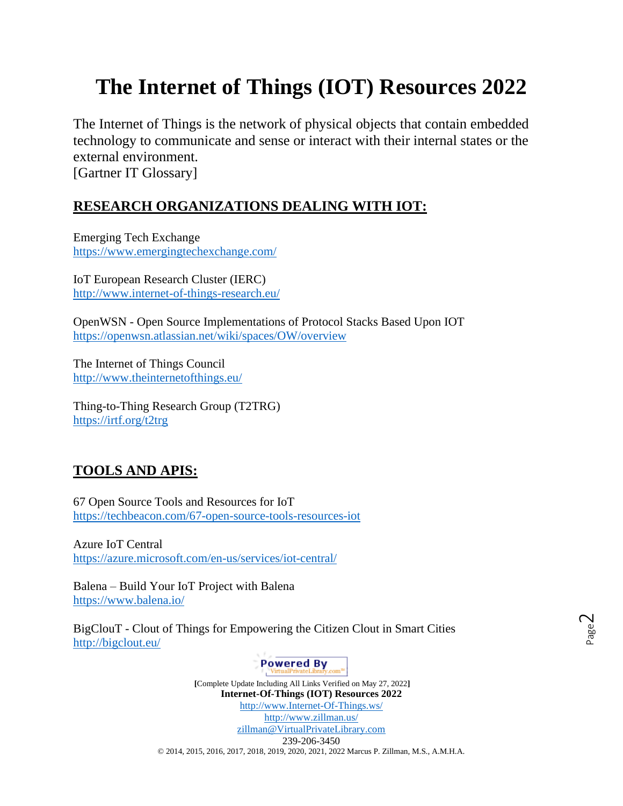# **The Internet of Things (IOT) Resources 2022**

The Internet of Things is the network of physical objects that contain embedded technology to communicate and sense or interact with their internal states or the external environment. [Gartner IT Glossary]

## **RESEARCH ORGANIZATIONS DEALING WITH IOT:**

Emerging Tech Exchange <https://www.emergingtechexchange.com/>

IoT European Research Cluster (IERC) <http://www.internet-of-things-research.eu/>

OpenWSN - Open Source Implementations of Protocol Stacks Based Upon IOT <https://openwsn.atlassian.net/wiki/spaces/OW/overview>

The Internet of Things Council <http://www.theinternetofthings.eu/>

Thing-to-Thing Research Group (T2TRG) <https://irtf.org/t2trg>

# **TOOLS AND APIS:**

67 Open Source Tools and Resources for IoT <https://techbeacon.com/67-open-source-tools-resources-iot>

Azure IoT Central <https://azure.microsoft.com/en-us/services/iot-central/>

Balena – Build Your IoT Project with Balena <https://www.balena.io/>

BigClouT - Clout of Things for Empowering the Citizen Clout in Smart Cities <http://bigclout.eu/>

## **Powered By**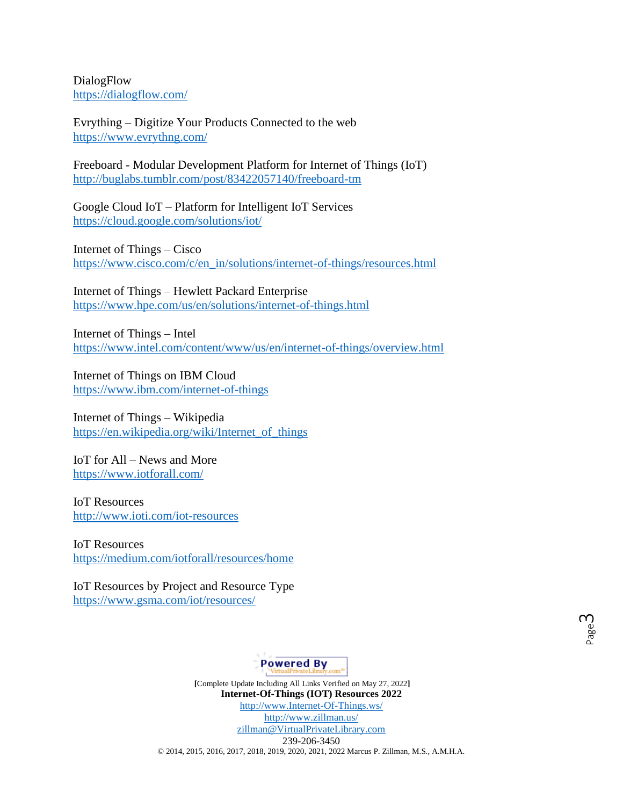DialogFlow <https://dialogflow.com/>

Evrything – Digitize Your Products Connected to the web <https://www.evrythng.com/>

Freeboard - Modular Development Platform for Internet of Things (IoT) <http://buglabs.tumblr.com/post/83422057140/freeboard-tm>

Google Cloud IoT – Platform for Intelligent IoT Services <https://cloud.google.com/solutions/iot/>

Internet of Things – Cisco [https://www.cisco.com/c/en\\_in/solutions/internet-of-things/resources.html](https://www.cisco.com/c/en_in/solutions/internet-of-things/resources.html)

Internet of Things – Hewlett Packard Enterprise <https://www.hpe.com/us/en/solutions/internet-of-things.html>

Internet of Things – Intel <https://www.intel.com/content/www/us/en/internet-of-things/overview.html>

Internet of Things on IBM Cloud <https://www.ibm.com/internet-of-things>

Internet of Things – Wikipedia [https://en.wikipedia.org/wiki/Internet\\_of\\_things](https://en.wikipedia.org/wiki/Internet_of_things)

IoT for All – News and More <https://www.iotforall.com/>

IoT Resources <http://www.ioti.com/iot-resources>

IoT Resources <https://medium.com/iotforall/resources/home>

IoT Resources by Project and Resource Type <https://www.gsma.com/iot/resources/>

**Powered By**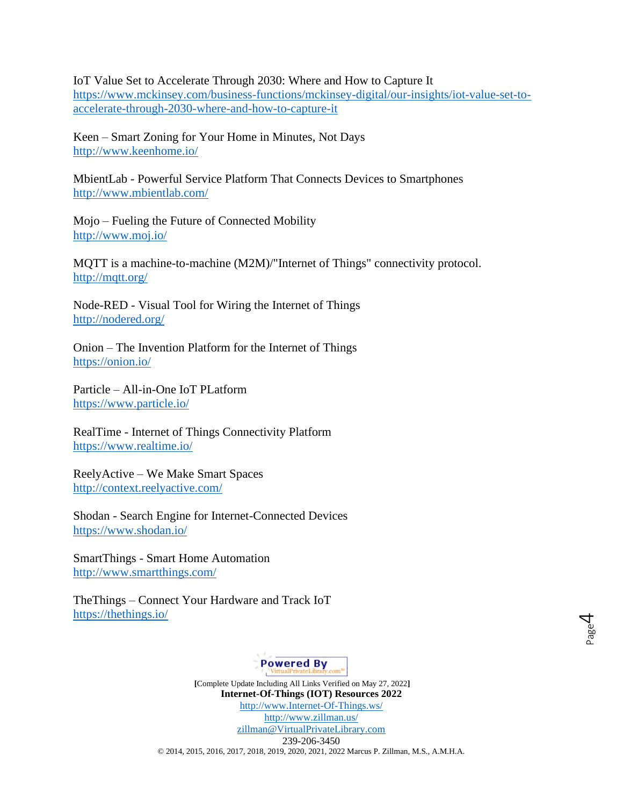IoT Value Set to Accelerate Through 2030: Where and How to Capture It [https://www.mckinsey.com/business-functions/mckinsey-digital/our-insights/iot-value-set-to](https://www.mckinsey.com/business-functions/mckinsey-digital/our-insights/iot-value-set-to-accelerate-through-2030-where-and-how-to-capture-it)[accelerate-through-2030-where-and-how-to-capture-it](https://www.mckinsey.com/business-functions/mckinsey-digital/our-insights/iot-value-set-to-accelerate-through-2030-where-and-how-to-capture-it)

Keen – Smart Zoning for Your Home in Minutes, Not Days <http://www.keenhome.io/>

MbientLab - Powerful Service Platform That Connects Devices to Smartphones <http://www.mbientlab.com/>

Mojo – Fueling the Future of Connected Mobility <http://www.moj.io/>

MQTT is a machine-to-machine (M2M)/"Internet of Things" connectivity protocol. <http://mqtt.org/>

Node-RED - Visual Tool for Wiring the Internet of Things <http://nodered.org/>

Onion – The Invention Platform for the Internet of Things <https://onion.io/>

Particle – All-in-One IoT PLatform <https://www.particle.io/>

RealTime - Internet of Things Connectivity Platform <https://www.realtime.io/>

ReelyActive – We Make Smart Spaces <http://context.reelyactive.com/>

Shodan - Search Engine for Internet-Connected Devices <https://www.shodan.io/>

SmartThings - Smart Home Automation <http://www.smartthings.com/>

TheThings – Connect Your Hardware and Track IoT <https://thethings.io/>

**Powered By**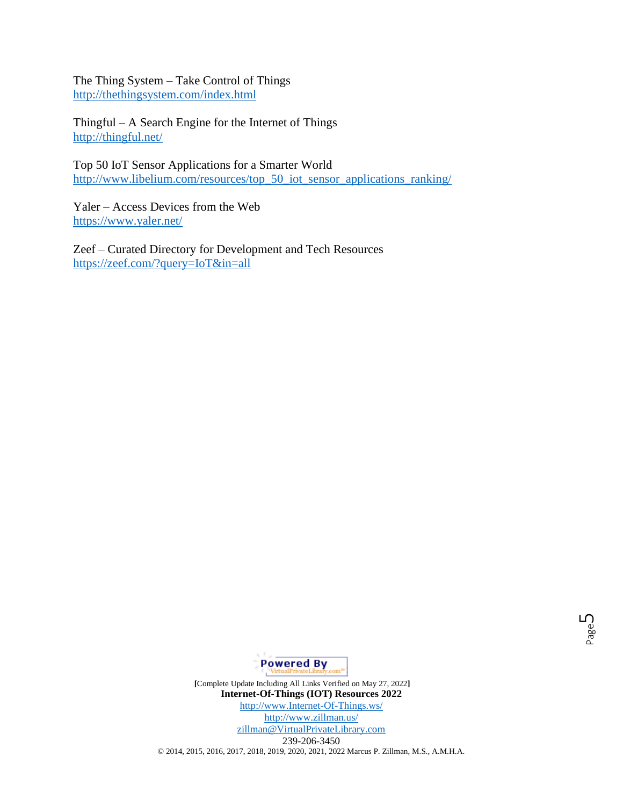The Thing System – Take Control of Things <http://thethingsystem.com/index.html>

Thingful – A Search Engine for the Internet of Things <http://thingful.net/>

Top 50 IoT Sensor Applications for a Smarter World [http://www.libelium.com/resources/top\\_50\\_iot\\_sensor\\_applications\\_ranking/](http://www.libelium.com/resources/top_50_iot_sensor_applications_ranking/)

Yaler – Access Devices from the Web <https://www.yaler.net/>

Zeef – Curated Directory for Development and Tech Resources <https://zeef.com/?query=IoT&in=all>

Page

ഥ

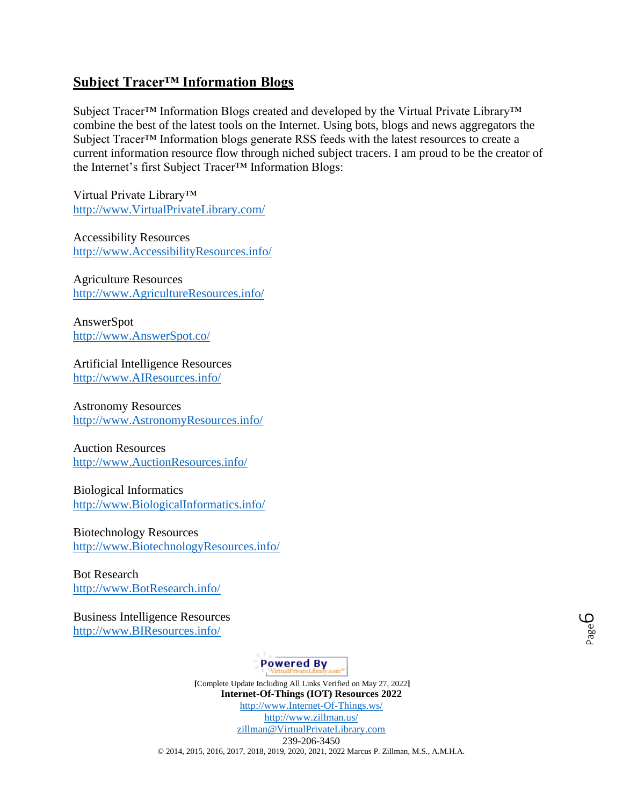### **Subject Tracer™ Information Blogs**

Subject Tracer™ Information Blogs created and developed by the Virtual Private Library™ combine the best of the latest tools on the Internet. Using bots, blogs and news aggregators the Subject Tracer™ Information blogs generate RSS feeds with the latest resources to create a current information resource flow through niched subject tracers. I am proud to be the creator of the Internet's first Subject Tracer™ Information Blogs:

Virtual Private Library™ [http://www.VirtualPrivateLibrary.com/](http://www.virtualprivatelibrary.com/)

Accessibility Resources [http://www.AccessibilityResources.info/](http://www.accessibilityresources.info/)

Agriculture Resources [http://www.AgricultureResources.info/](http://www.agricultureresources.info/)

AnswerSpot [http://www.AnswerSpot.co/](http://www.answerspot.co/)

Artificial Intelligence Resources [http://www.AIResources.info/](http://www.airesources.info/)

Astronomy Resources [http://www.AstronomyResources.info/](http://www.astronomyresources.info/)

Auction Resources [http://www.AuctionResources.info/](http://www.auctionresources.info/)

Biological Informatics [http://www.BiologicalInformatics.info/](http://www.biologicalinformatics.info/)

Biotechnology Resources [http://www.BiotechnologyResources.info/](http://www.biotechnologyresources.info/)

Bot Research [http://www.BotResearch.info/](http://www.botresearch.info/)

Business Intelligence Resources [http://www.BIResources.info/](http://www.biresources.info/)

**Powered By**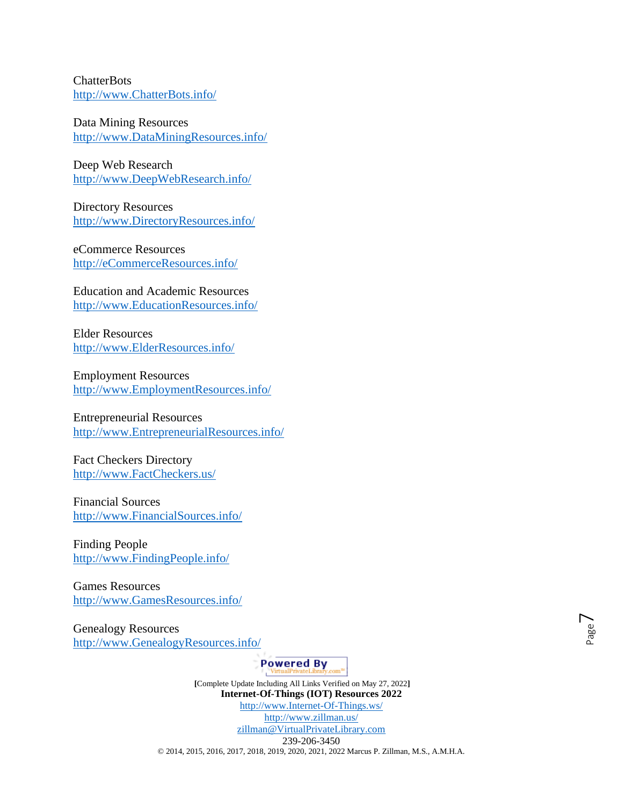**ChatterBots** [http://www.ChatterBots.info/](http://www.chatterbots.info/)

Data Mining Resources [http://www.DataMiningResources.info/](http://www.dataminingresources.info/)

Deep Web Research [http://www.DeepWebResearch.info/](http://www.deepwebresearch.info/)

Directory Resources [http://www.DirectoryResources.info/](http://www.directoryresources.info/)

eCommerce Resources [http://eCommerceResources.info/](http://ecommerceresources.info/)

Education and Academic Resources [http://www.EducationResources.info/](http://www.educationresources.info/)

Elder Resources [http://www.ElderResources.info/](http://www.elderresources.info/)

Employment Resources [http://www.EmploymentResources.info/](http://www.employmentresources.info/)

Entrepreneurial Resources [http://www.EntrepreneurialResources.info/](http://www.entrepreneurialresources.info/)

Fact Checkers Directory [http://www.FactCheckers.us/](http://www.factcheckers.us/)

Financial Sources [http://www.FinancialSources.info/](http://www.financialsources.info/)

Finding People [http://www.FindingPeople.info/](http://www.findingpeople.info/)

Games Resources [http://www.GamesResources.info/](http://www.gamesresources.info/)

Genealogy Resources [http://www.GenealogyResources.info/](http://www.genealogyresources.info/)

**Powered By**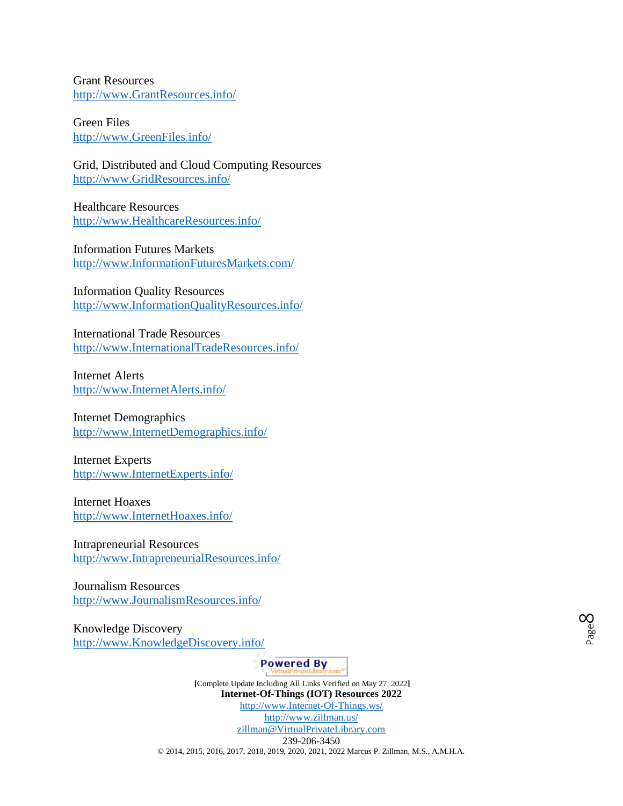Grant Resources [http://www.GrantResources.info/](http://www.grantresources.info/)

Green Files [http://www.GreenFiles.info/](http://www.greenfiles.info/)

Grid, Distributed and Cloud Computing Resources [http://www.GridResources.info/](http://www.gridresources.info/)

Healthcare Resources [http://www.HealthcareResources.info/](http://www.healthcareresources.info/)

Information Futures Markets [http://www.InformationFuturesMarkets.com/](http://www.informationfuturesmarkets.com/)

Information Quality Resources [http://www.InformationQualityResources.info/](http://www.informationqualityresources.info/)

International Trade Resources [http://www.InternationalTradeResources.info/](http://www.internationaltraderesources.info/)

Internet Alerts [http://www.InternetAlerts.info/](http://www.internetalerts.info/)

Internet Demographics [http://www.InternetDemographics.info/](http://www.internetdemographics.info/)

Internet Experts [http://www.InternetExperts.info/](http://www.internetexperts.info/)

Internet Hoaxes [http://www.InternetHoaxes.info/](http://www.internethoaxes.info/)

Intrapreneurial Resources [http://www.IntrapreneurialResources.info/](http://www.intrapreneurialresources.info/)

Journalism Resources [http://www.JournalismResources.info/](http://www.journalismresources.info/)

Knowledge Discovery [http://www.KnowledgeDiscovery.info/](http://www.knowledgediscovery.info/)

**Powered By**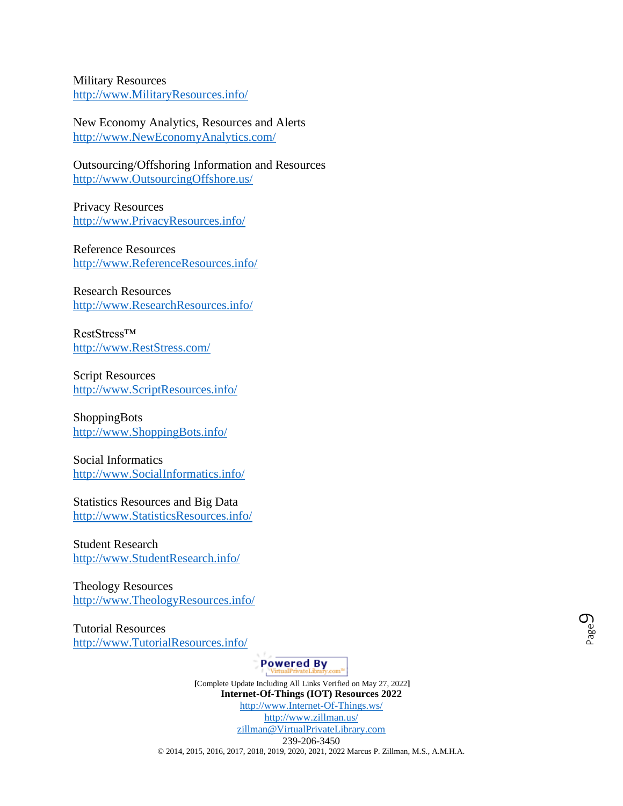Military Resources [http://www.MilitaryResources.info/](http://www.militaryresources.info/)

New Economy Analytics, Resources and Alerts [http://www.NewEconomyAnalytics.com/](http://www.neweconomyanalytics.com/)

Outsourcing/Offshoring Information and Resources [http://www.OutsourcingOffshore.us/](http://www.outsourcingoffshore.us/)

Privacy Resources [http://www.PrivacyResources.info/](http://www.privacyresources.info/)

Reference Resources [http://www.ReferenceResources.info/](http://www.referenceresources.info/)

Research Resources [http://www.ResearchResources.info/](http://www.researchresources.info/)

RestStress™ [http://www.RestStress.com/](http://www.reststress.com/)

Script Resources [http://www.ScriptResources.info/](http://www.scriptresources.info/)

ShoppingBots [http://www.ShoppingBots.info/](http://www.shoppingbots.info/)

Social Informatics [http://www.SocialInformatics.info/](http://www.socialinformatics.info/)

Statistics Resources and Big Data [http://www.StatisticsResources.info/](http://www.statisticsresources.info/)

Student Research [http://www.StudentResearch.info/](http://www.studentresearch.info/)

Theology Resources [http://www.TheologyResources.info/](http://www.theologyresources.info/)

Tutorial Resources [http://www.TutorialResources.info/](http://www.tutorialresources.info/)

**Powered By**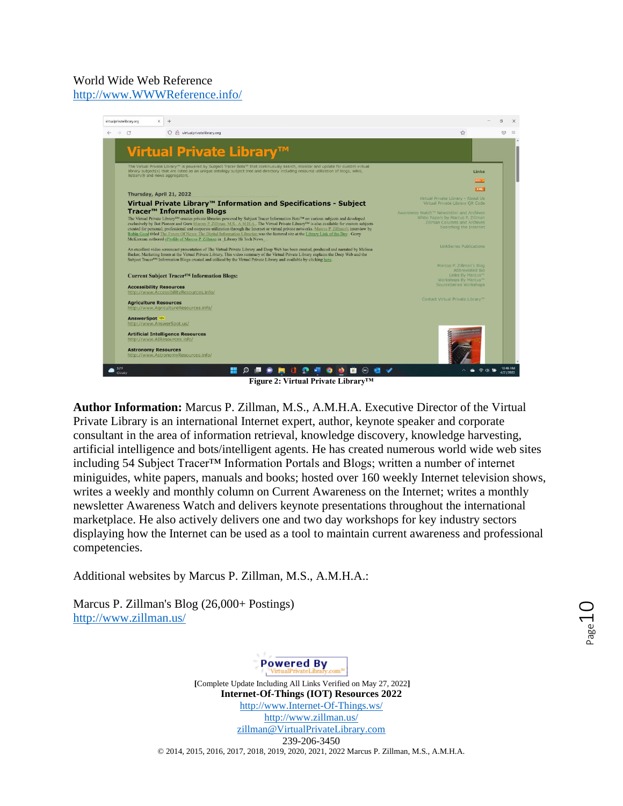#### World Wide Web Reference [http://www.WWWReference.info/](http://www.wwwreference.info/)



**Figure 2: Virtual Private Library™**

**Author Information:** Marcus P. Zillman, M.S., A.M.H.A. Executive Director of the Virtual Private Library is an international Internet expert, author, keynote speaker and corporate consultant in the area of information retrieval, knowledge discovery, knowledge harvesting, artificial intelligence and bots/intelligent agents. He has created numerous world wide web sites including 54 Subject Tracer™ Information Portals and Blogs; written a number of internet miniguides, white papers, manuals and books; hosted over 160 weekly Internet television shows, writes a weekly and monthly column on Current Awareness on the Internet; writes a monthly newsletter Awareness Watch and delivers keynote presentations throughout the international marketplace. He also actively delivers one and two day workshops for key industry sectors displaying how the Internet can be used as a tool to maintain current awareness and professional competencies.

Additional websites by Marcus P. Zillman, M.S., A.M.H.A.:

Marcus P. Zillman's Blog (26,000+ Postings) <http://www.zillman.us/>

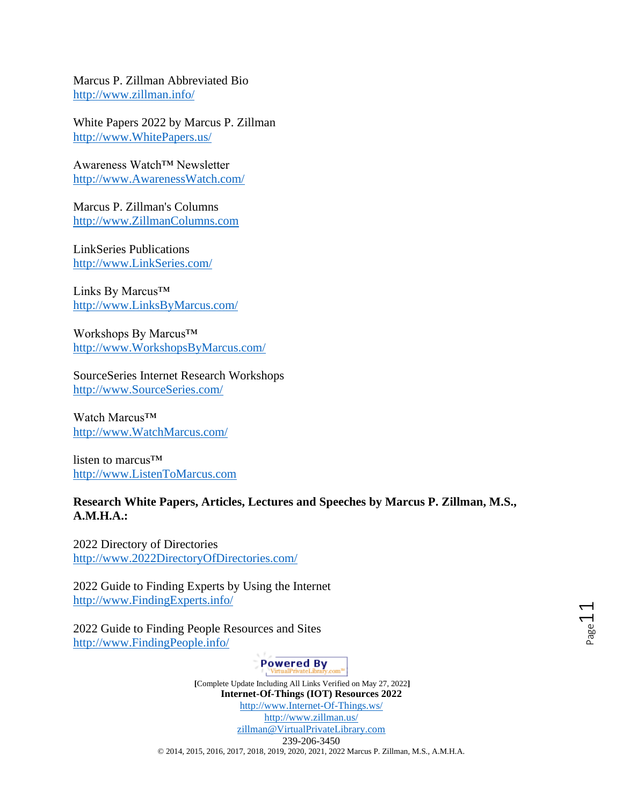Marcus P. Zillman Abbreviated Bio <http://www.zillman.info/>

White Papers 2022 by Marcus P. Zillman [http://www.WhitePapers.us/](http://www.whitepapers.us/)

Awareness Watch™ Newsletter [http://www.AwarenessWatch.com/](http://www.awarenesswatch.com/)

Marcus P. Zillman's Columns [http://www.ZillmanColumns.com](http://www.zillmancolumns.com/)

LinkSeries Publications [http://www.LinkSeries.com/](http://www.linkseries.com/)

Links By Marcus™ [http://www.LinksByMarcus.com/](http://www.linksbymarcus.com/)

Workshops By Marcus<sup>™</sup> [http://www.WorkshopsByMarcus.com/](http://www.workshopsbymarcus.com/)

SourceSeries Internet Research Workshops [http://www.SourceSeries.com/](http://www.sourceseries.com/)

Watch Marcus<sup>™</sup> [http://www.WatchMarcus.com/](http://www.watchmarcus.com/)

listen to marcus™ [http://www.ListenToMarcus.com](http://www.listentomarcus.com/)

#### **Research White Papers, Articles, Lectures and Speeches by Marcus P. Zillman, M.S., A.M.H.A.:**

2022 Directory of Directories [http://www.2022DirectoryOfDirectories.com/](http://www.2022directoryofdirectories.com/)

2022 Guide to Finding Experts by Using the Internet [http://www.FindingExperts.info/](http://www.findingexperts.info/)

2022 Guide to Finding People Resources and Sites [http://www.FindingPeople.info/](http://www.findingpeople.info/)

**Powered By**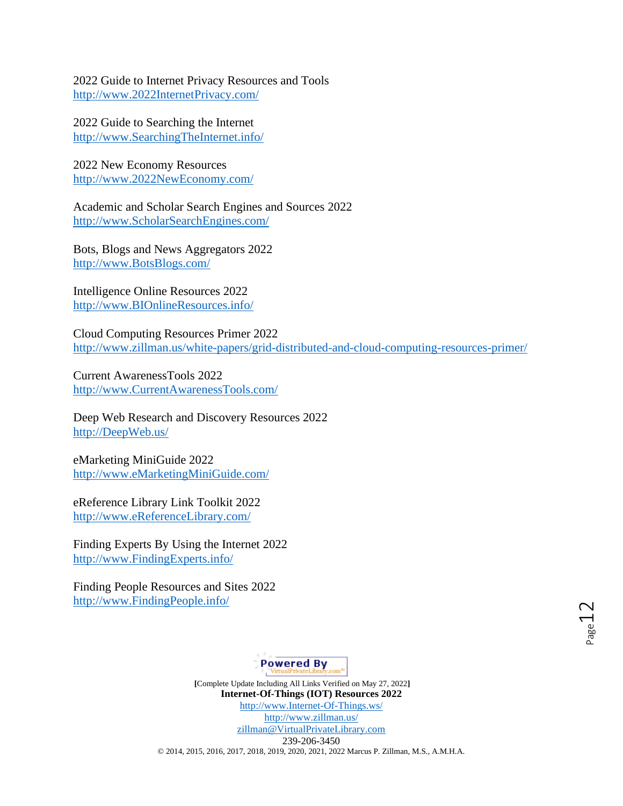2022 Guide to Internet Privacy Resources and Tools [http://www.2022InternetPrivacy.com/](http://www.2022internetprivacy.com/)

2022 Guide to Searching the Internet [http://www.SearchingTheInternet.info/](http://www.searchingtheinternet.info/)

2022 New Economy Resources [http://www.2022NewEconomy.com/](http://www.2022neweconomy.com/)

Academic and Scholar Search Engines and Sources 2022 [http://www.ScholarSearchEngines.com/](http://www.scholarsearchengines.com/)

Bots, Blogs and News Aggregators 2022 [http://www.BotsBlogs.com/](http://www.botsblogs.com/)

Intelligence Online Resources 2022 [http://www.BIOnlineResources.info/](http://www.bionlineresources.info/)

Cloud Computing Resources Primer 2022 <http://www.zillman.us/white-papers/grid-distributed-and-cloud-computing-resources-primer/>

Current AwarenessTools 2022 [http://www.CurrentAwarenessTools.com/](http://www.currentawarenesstools.com/)

Deep Web Research and Discovery Resources 2022 [http://DeepWeb.us/](http://deepweb.us/)

eMarketing MiniGuide 2022 [http://www.eMarketingMiniGuide.com/](http://www.emarketingminiguide.com/)

eReference Library Link Toolkit 2022 [http://www.eReferenceLibrary.com/](http://www.ereferencelibrary.com/)

Finding Experts By Using the Internet 2022 [http://www.FindingExperts.info/](http://www.findingexperts.info/)

Finding People Resources and Sites 2022 [http://www.FindingPeople.info/](http://www.findingpeople.info/)

**Powered By**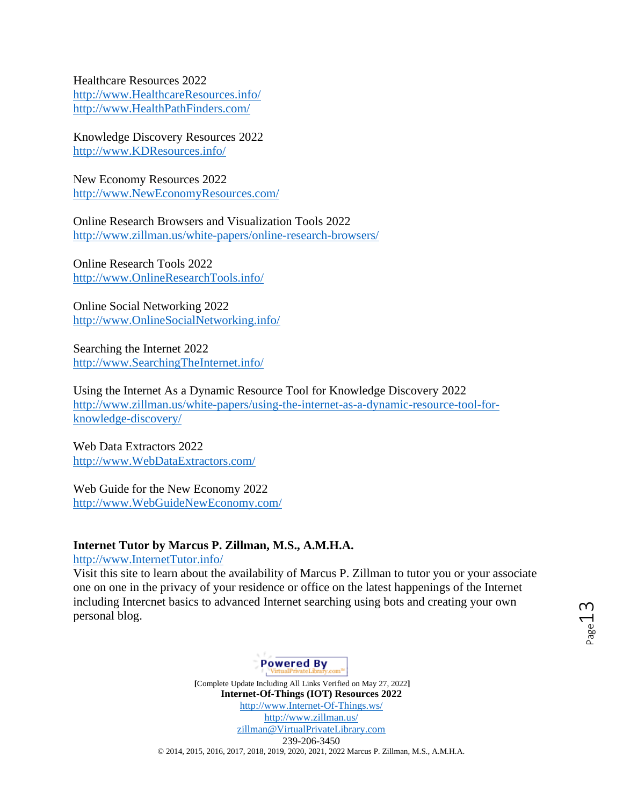Healthcare Resources 2022 [http://www.HealthcareResources.info/](http://www.healthcareresources.info/)  [http://www.HealthPathFinders.com/](http://www.healthpathfinders.com/)

Knowledge Discovery Resources 2022 [http://www.KDResources.info/](http://www.kdresources.info/)

New Economy Resources 2022 [http://www.NewEconomyResources.com/](http://www.neweconomyresources.com/)

Online Research Browsers and Visualization Tools 2022 <http://www.zillman.us/white-papers/online-research-browsers/>

Online Research Tools 2022 [http://www.OnlineResearchTools.info/](http://www.onlineresearchtools.info/)

Online Social Networking 2022 [http://www.OnlineSocialNetworking.info/](http://www.onlinesocialnetworking.info/)

Searching the Internet 2022 [http://www.SearchingTheInternet.info/](http://www.searchingtheinternet.info/)

Using the Internet As a Dynamic Resource Tool for Knowledge Discovery 2022 [http://www.zillman.us/white-papers/using-the-internet-as-a-dynamic-resource-tool-for](http://www.zillman.us/white-papers/using-the-internet-as-a-dynamic-resource-tool-for-knowledge-discovery/)[knowledge-discovery/](http://www.zillman.us/white-papers/using-the-internet-as-a-dynamic-resource-tool-for-knowledge-discovery/)

Web Data Extractors 2022 [http://www.WebDataExtractors.com/](http://www.webdataextractors.com/)

Web Guide for the New Economy 2022 [http://www.WebGuideNewEconomy.com/](http://www.webguideneweconomy.com/)

#### **Internet Tutor by Marcus P. Zillman, M.S., A.M.H.A.**

[http://www.InternetTutor.info/](http://www.internettutor.info/) 

Visit this site to learn about the availability of Marcus P. Zillman to tutor you or your associate one on one in the privacy of your residence or office on the latest happenings of the Internet including Intercnet basics to advanced Internet searching using bots and creating your own personal blog.

**Powered By**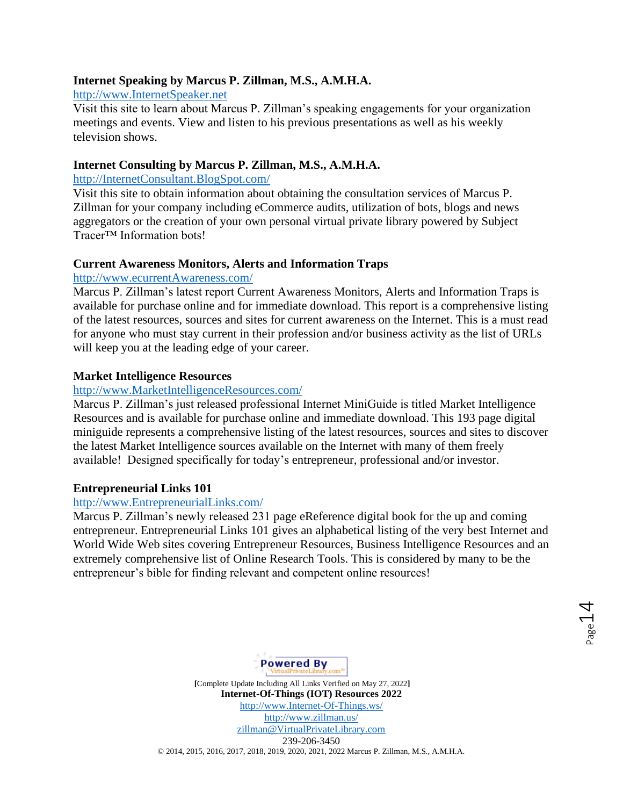#### **Internet Speaking by Marcus P. Zillman, M.S., A.M.H.A.**

#### [http://www.InternetSpeaker.net](http://www.internetspeaker.net/)

Visit this site to learn about Marcus P. Zillman's speaking engagements for your organization meetings and events. View and listen to his previous presentations as well as his weekly television shows.

#### **Internet Consulting by Marcus P. Zillman, M.S., A.M.H.A.**

[http://InternetConsultant.BlogSpot.com/](http://internetconsultant.blogspot.com/) 

Visit this site to obtain information about obtaining the consultation services of Marcus P. Zillman for your company including eCommerce audits, utilization of bots, blogs and news aggregators or the creation of your own personal virtual private library powered by Subject Tracer™ Information bots!

#### **Current Awareness Monitors, Alerts and Information Traps**

#### [http://www.ecurrentAwareness.com/](http://www.ecurrentawareness.com/)

Marcus P. Zillman's latest report Current Awareness Monitors, Alerts and Information Traps is available for purchase online and for immediate download. This report is a comprehensive listing of the latest resources, sources and sites for current awareness on the Internet. This is a must read for anyone who must stay current in their profession and/or business activity as the list of URLs will keep you at the leading edge of your career.

#### **Market Intelligence Resources**

#### [http://www.MarketIntelligenceResources.com/](http://www.marketintelligenceresources.com/)

Marcus P. Zillman's just released professional Internet MiniGuide is titled Market Intelligence Resources and is available for purchase online and immediate download. This 193 page digital miniguide represents a comprehensive listing of the latest resources, sources and sites to discover the latest Market Intelligence sources available on the Internet with many of them freely available! Designed specifically for today's entrepreneur, professional and/or investor.

#### **Entrepreneurial Links 101**

#### [http://www.EntrepreneurialLinks.com/](http://www.entrepreneuriallinks.com/)

Marcus P. Zillman's newly released 231 page eReference digital book for the up and coming entrepreneur. Entrepreneurial Links 101 gives an alphabetical listing of the very best Internet and World Wide Web sites covering Entrepreneur Resources, Business Intelligence Resources and an extremely comprehensive list of Online Research Tools. This is considered by many to be the entrepreneur's bible for finding relevant and competent online resources!

 $_{\rm Page}$ 14